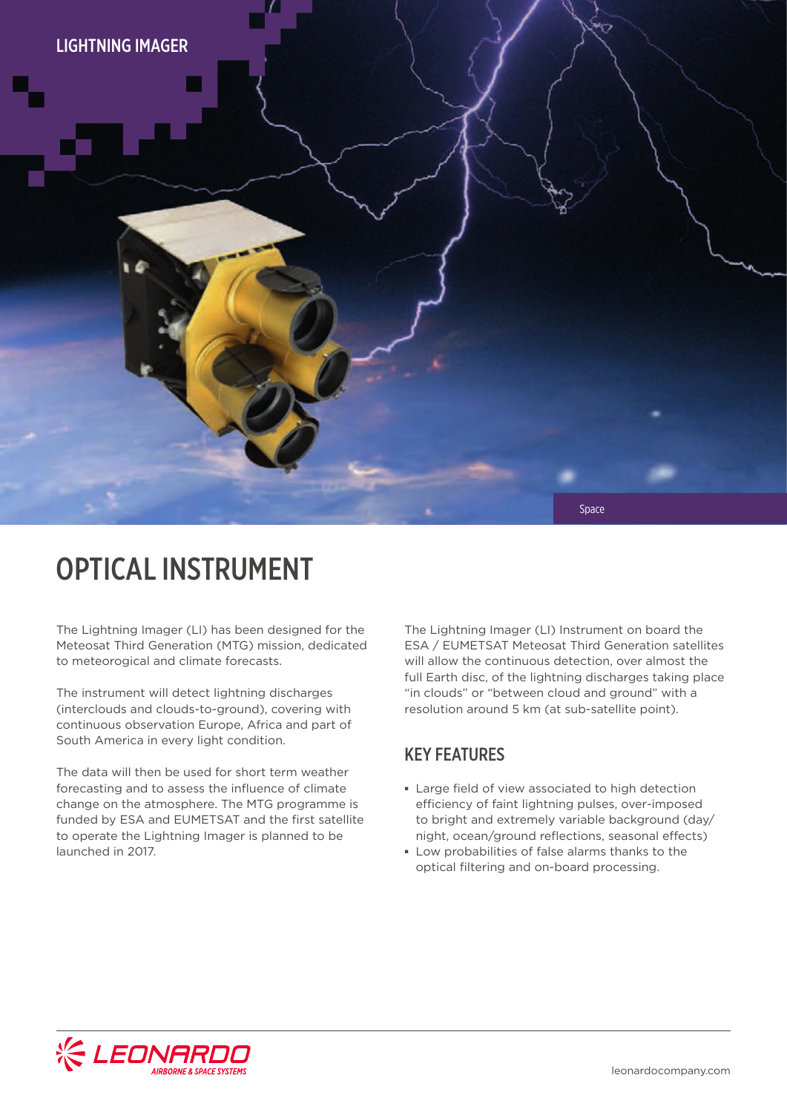

## OPTICAL INSTRUMENT

The Lightning Imager (LI) has been designed for the Meteosat Third Generation (MTG) mission, dedicated to meteorogical and climate forecasts.

The instrument will detect lightning discharges (interclouds and clouds-to-ground), covering with continuous observation Europe, Africa and part of South America in every light condition.

The data will then be used for short term weather forecasting and to assess the influence of climate change on the atmosphere. The MTG programme is funded by ESA and EUMETSAT and the first satellite to operate the Lightning Imager is planned to be launched in 2017.

The Lightning Imager (LI) Instrument on board the ESA / EUMETSAT Meteosat Third Generation satellites will allow the continuous detection, over almost the full Earth disc, of the lightning discharges taking place "in clouds" or "between cloud and ground" with a resolution around 5 km (at sub-satellite point).

#### KEY FEATURES

- **▪** Large field of view associated to high detection efficiency of faint lightning pulses, over-imposed to bright and extremely variable background (day/ night, ocean/ground reflections, seasonal effects)
- **▪** Low probabilities of false alarms thanks to the optical filtering and on-board processing.